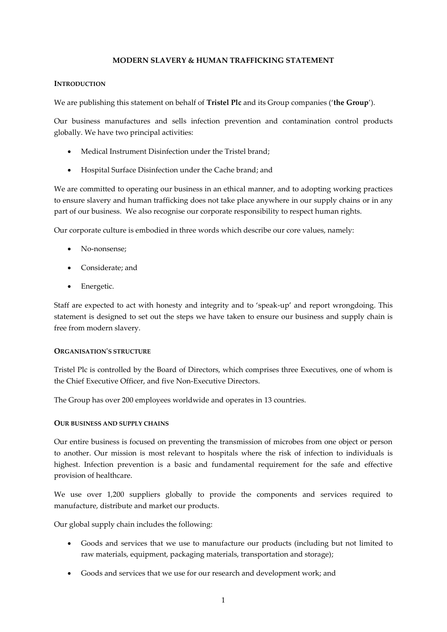## **MODERN SLAVERY & HUMAN TRAFFICKING STATEMENT**

#### **INTRODUCTION**

We are publishing this statement on behalf of **Tristel Plc** and its Group companies ('**the Group**').

Our business manufactures and sells infection prevention and contamination control products globally. We have two principal activities:

- Medical Instrument Disinfection under the Tristel brand;
- Hospital Surface Disinfection under the Cache brand; and

We are committed to operating our business in an ethical manner, and to adopting working practices to ensure slavery and human trafficking does not take place anywhere in our supply chains or in any part of our business. We also recognise our corporate responsibility to respect human rights.

Our corporate culture is embodied in three words which describe our core values, namely:

- No-nonsense;
- Considerate; and
- Energetic.

Staff are expected to act with honesty and integrity and to 'speak-up' and report wrongdoing. This statement is designed to set out the steps we have taken to ensure our business and supply chain is free from modern slavery.

### **ORGANISATION'S STRUCTURE**

Tristel Plc is controlled by the Board of Directors, which comprises three Executives, one of whom is the Chief Executive Officer, and five Non-Executive Directors.

The Group has over 200 employees worldwide and operates in 13 countries.

### **OUR BUSINESS AND SUPPLY CHAINS**

Our entire business is focused on preventing the transmission of microbes from one object or person to another. Our mission is most relevant to hospitals where the risk of infection to individuals is highest. Infection prevention is a basic and fundamental requirement for the safe and effective provision of healthcare.

We use over 1,200 suppliers globally to provide the components and services required to manufacture, distribute and market our products.

Our global supply chain includes the following:

- Goods and services that we use to manufacture our products (including but not limited to raw materials, equipment, packaging materials, transportation and storage);
- Goods and services that we use for our research and development work; and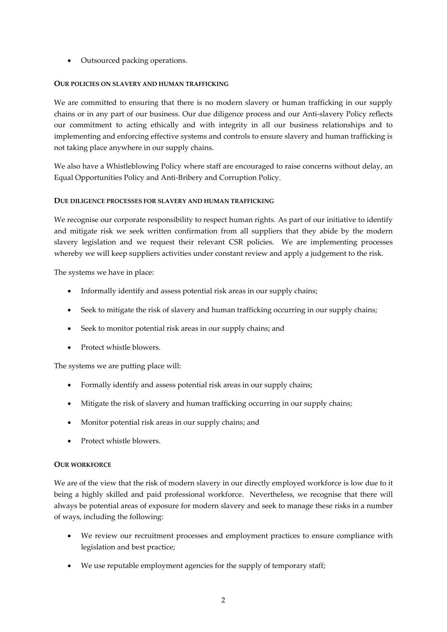• Outsourced packing operations.

## **OUR POLICIES ON SLAVERY AND HUMAN TRAFFICKING**

We are committed to ensuring that there is no modern slavery or human trafficking in our supply chains or in any part of our business. Our due diligence process and our Anti-slavery Policy reflects our commitment to acting ethically and with integrity in all our business relationships and to implementing and enforcing effective systems and controls to ensure slavery and human trafficking is not taking place anywhere in our supply chains.

We also have a Whistleblowing Policy where staff are encouraged to raise concerns without delay, an Equal Opportunities Policy and Anti-Bribery and Corruption Policy.

## **DUE DILIGENCE PROCESSES FOR SLAVERY AND HUMAN TRAFFICKING**

We recognise our corporate responsibility to respect human rights. As part of our initiative to identify and mitigate risk we seek written confirmation from all suppliers that they abide by the modern slavery legislation and we request their relevant CSR policies. We are implementing processes whereby we will keep suppliers activities under constant review and apply a judgement to the risk.

The systems we have in place:

- Informally identify and assess potential risk areas in our supply chains;
- Seek to mitigate the risk of slavery and human trafficking occurring in our supply chains;
- Seek to monitor potential risk areas in our supply chains; and
- Protect whistle blowers.

The systems we are putting place will:

- Formally identify and assess potential risk areas in our supply chains;
- Mitigate the risk of slavery and human trafficking occurring in our supply chains;
- Monitor potential risk areas in our supply chains; and
- Protect whistle blowers.

# **OUR WORKFORCE**

We are of the view that the risk of modern slavery in our directly employed workforce is low due to it being a highly skilled and paid professional workforce. Nevertheless, we recognise that there will always be potential areas of exposure for modern slavery and seek to manage these risks in a number of ways, including the following:

- We review our recruitment processes and employment practices to ensure compliance with legislation and best practice;
- We use reputable employment agencies for the supply of temporary staff;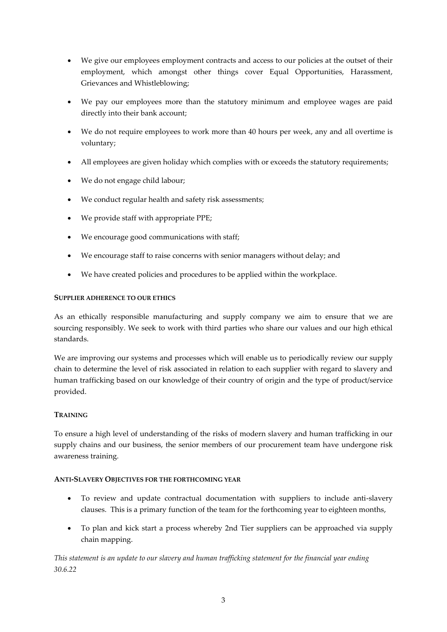- We give our employees employment contracts and access to our policies at the outset of their employment, which amongst other things cover Equal Opportunities, Harassment, Grievances and Whistleblowing;
- We pay our employees more than the statutory minimum and employee wages are paid directly into their bank account;
- We do not require employees to work more than 40 hours per week, any and all overtime is voluntary;
- All employees are given holiday which complies with or exceeds the statutory requirements;
- We do not engage child labour;
- We conduct regular health and safety risk assessments;
- We provide staff with appropriate PPE;
- We encourage good communications with staff;
- We encourage staff to raise concerns with senior managers without delay; and
- We have created policies and procedures to be applied within the workplace.

### **SUPPLIER ADHERENCE TO OUR ETHICS**

As an ethically responsible manufacturing and supply company we aim to ensure that we are sourcing responsibly. We seek to work with third parties who share our values and our high ethical standards.

We are improving our systems and processes which will enable us to periodically review our supply chain to determine the level of risk associated in relation to each supplier with regard to slavery and human trafficking based on our knowledge of their country of origin and the type of product/service provided.

# **TRAINING**

To ensure a high level of understanding of the risks of modern slavery and human trafficking in our supply chains and our business, the senior members of our procurement team have undergone risk awareness training.

### **ANTI-SLAVERY OBJECTIVES FOR THE FORTHCOMING YEAR**

- To review and update contractual documentation with suppliers to include anti-slavery clauses. This is a primary function of the team for the forthcoming year to eighteen months,
- To plan and kick start a process whereby 2nd Tier suppliers can be approached via supply chain mapping.

*This statement is an update to our slavery and human trafficking statement for the financial year ending 30.6.22*